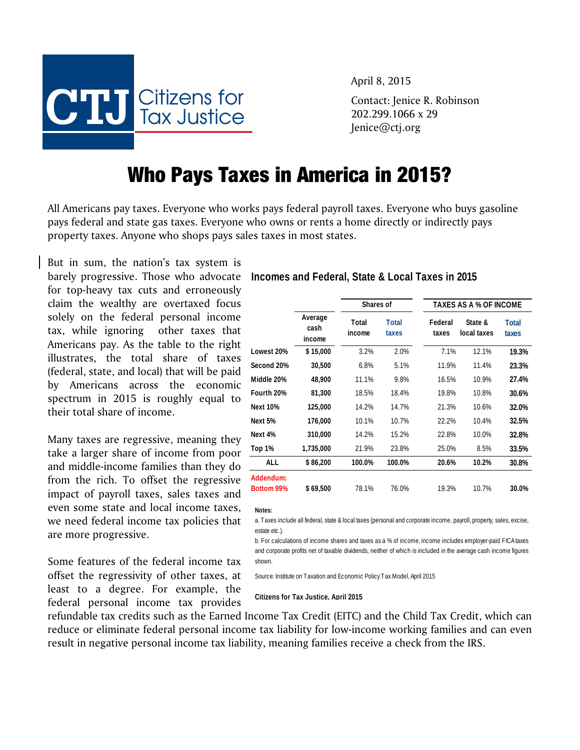**CTJ** Citizens for Tax Justice

April 8, 2015

Contact: Jenice R. Robinson 202.299.1066 x 29 Jenice@ctj.org

## Who Pays Taxes in America in 2015?

All Americans pay taxes. Everyone who works pays federal payroll taxes. Everyone who buys gasoline pays federal and state gas taxes. Everyone who owns or rents a home directly or indirectly pays property taxes. Anyone who shops pays sales taxes in most states.

But in sum, the nation's tax system is for top-heavy tax cuts and erroneously claim the wealthy are overtaxed focus solely on the federal personal income tax, while ignoring other taxes that Americans pay. As the table to the right illustrates, the total share of taxes (federal, state, and local) that will be paid by Americans across the economic spectrum in 2015 is roughly equal to their total share of income.

Many taxes are regressive, meaning they take a larger share of income from poor and middle-income families than they do from the rich. To offset the regressive impact of payroll taxes, sales taxes and even some state and local income taxes, we need federal income tax policies that are more progressive.

Some features of the federal income tax offset the regressivity of other taxes, at least to a degree. For example, the federal personal income tax provides

barely progressive. Those who advocate **Incomes and Federal, State & Local Taxes in 2015**

|                                |                           | Shares of       |                       |                  | TAXES AS A % OF INCOME |                       |  |
|--------------------------------|---------------------------|-----------------|-----------------------|------------------|------------------------|-----------------------|--|
|                                | Average<br>cash<br>income | Total<br>income | <b>Total</b><br>taxes | Federal<br>taxes | State &<br>local taxes | <b>Total</b><br>taxes |  |
| Lowest 20%                     | \$15,000                  | 3.2%            | 2.0%                  | 7.1%             | 12.1%                  | 19.3%                 |  |
| Second 20%                     | 30,500                    | 6.8%            | 5.1%                  | 11.9%            | 11.4%                  | 23.3%                 |  |
| Middle 20%                     | 48,900                    | 11.1%           | 9.8%                  | 16.5%            | 10.9%                  | 27.4%                 |  |
| Fourth 20%                     | 81,300                    | 18.5%           | 18.4%                 | 19.8%            | 10.8%                  | 30.6%                 |  |
| <b>Next 10%</b>                | 125,000                   | 14.2%           | 14.7%                 | 21.3%            | 10.6%                  | 32.0%                 |  |
| Next 5%                        | 176,000                   | 10.1%           | 10.7%                 | 22.2%            | 10.4%                  | 32.5%                 |  |
| Next 4%                        | 310,000                   | 14.2%           | 15.2%                 | 22.8%            | 10.0%                  | 32.8%                 |  |
| Top 1%                         | 1,735,000                 | 21.9%           | 23.8%                 | 25.0%            | 8.5%                   | 33.5%                 |  |
| ALL                            | \$86,200                  | 100.0%          | 100.0%                | 20.6%            | 10.2%                  | 30.8%                 |  |
| Addendum:<br><b>Bottom 99%</b> | \$69,500                  | 78.1%           | 76.0%                 | 19.3%            | 10.7%                  | 30.0%                 |  |

**Notes:**

a. Taxes include all federal, state & local taxes (personal and corporate income, payroll, property, sales, excise, estate etc.).

b. For calculations of income shares and taxes as a % of income, income includes employer-paid FICA taxes and corporate profits net of taxable dividends, neither of which is included in the average cash income figures shown.

Source: Institute on Taxation and Economic Policy Tax Model, April 2015

**Citizens for Tax Justice, April 2015**

refundable tax credits such as the Earned Income Tax Credit (EITC) and the Child Tax Credit, which can reduce or eliminate federal personal income tax liability for low-income working families and can even result in negative personal income tax liability, meaning families receive a check from the IRS.